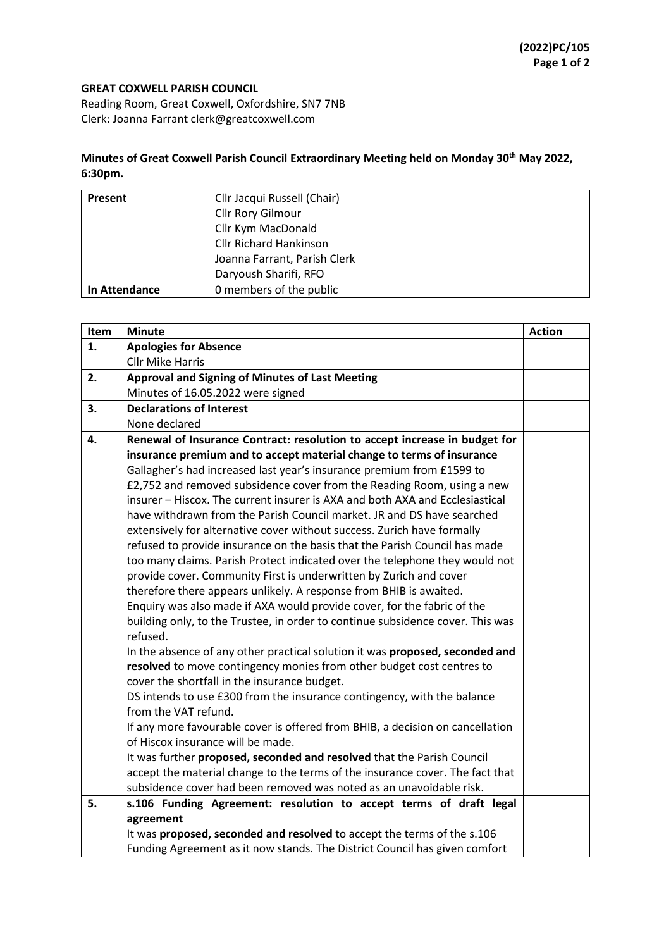## **GREAT COXWELL PARISH COUNCIL**

Reading Room, Great Coxwell, Oxfordshire, SN7 7NB Clerk: Joanna Farrant clerk@greatcoxwell.com

## **Minutes of Great Coxwell Parish Council Extraordinary Meeting held on Monday 30th May 2022, 6:30pm.**

| <b>Present</b> | Cllr Jacqui Russell (Chair)   |
|----------------|-------------------------------|
|                | Cllr Rory Gilmour             |
|                | Cllr Kym MacDonald            |
|                | <b>Cllr Richard Hankinson</b> |
|                | Joanna Farrant, Parish Clerk  |
|                | Daryoush Sharifi, RFO         |
| In Attendance  | 0 members of the public       |

| Item | <b>Minute</b>                                                                  | <b>Action</b> |
|------|--------------------------------------------------------------------------------|---------------|
| 1.   | <b>Apologies for Absence</b>                                                   |               |
|      | <b>Cllr Mike Harris</b>                                                        |               |
| 2.   | <b>Approval and Signing of Minutes of Last Meeting</b>                         |               |
|      | Minutes of 16.05.2022 were signed                                              |               |
| 3.   | <b>Declarations of Interest</b>                                                |               |
|      | None declared                                                                  |               |
| 4.   | Renewal of Insurance Contract: resolution to accept increase in budget for     |               |
|      | insurance premium and to accept material change to terms of insurance          |               |
|      | Gallagher's had increased last year's insurance premium from £1599 to          |               |
|      | £2,752 and removed subsidence cover from the Reading Room, using a new         |               |
|      | insurer - Hiscox. The current insurer is AXA and both AXA and Ecclesiastical   |               |
|      | have withdrawn from the Parish Council market. JR and DS have searched         |               |
|      | extensively for alternative cover without success. Zurich have formally        |               |
|      | refused to provide insurance on the basis that the Parish Council has made     |               |
|      | too many claims. Parish Protect indicated over the telephone they would not    |               |
|      | provide cover. Community First is underwritten by Zurich and cover             |               |
|      | therefore there appears unlikely. A response from BHIB is awaited.             |               |
|      | Enquiry was also made if AXA would provide cover, for the fabric of the        |               |
|      | building only, to the Trustee, in order to continue subsidence cover. This was |               |
|      | refused.                                                                       |               |
|      | In the absence of any other practical solution it was proposed, seconded and   |               |
|      | resolved to move contingency monies from other budget cost centres to          |               |
|      | cover the shortfall in the insurance budget.                                   |               |
|      | DS intends to use £300 from the insurance contingency, with the balance        |               |
|      | from the VAT refund.                                                           |               |
|      | If any more favourable cover is offered from BHIB, a decision on cancellation  |               |
|      | of Hiscox insurance will be made.                                              |               |
|      | It was further proposed, seconded and resolved that the Parish Council         |               |
|      | accept the material change to the terms of the insurance cover. The fact that  |               |
|      | subsidence cover had been removed was noted as an unavoidable risk.            |               |
| 5.   | s.106 Funding Agreement: resolution to accept terms of draft legal             |               |
|      | agreement                                                                      |               |
|      | It was proposed, seconded and resolved to accept the terms of the s.106        |               |
|      | Funding Agreement as it now stands. The District Council has given comfort     |               |